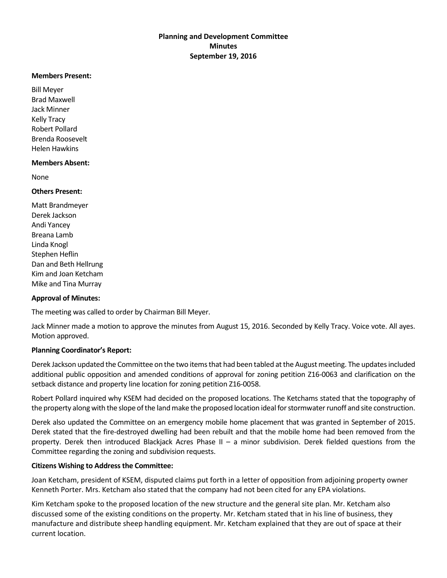#### **Members Present:**

Bill Meyer Brad Maxwell Jack Minner Kelly Tracy Robert Pollard Brenda Roosevelt Helen Hawkins

## **Members Absent:**

None

#### **Others Present:**

Matt Brandmeyer Derek Jackson Andi Yancey Breana Lamb Linda Knogl Stephen Heflin Dan and Beth Hellrung Kim and Joan Ketcham Mike and Tina Murray

## **Approval of Minutes:**

The meeting was called to order by Chairman Bill Meyer.

Jack Minner made a motion to approve the minutes from August 15, 2016. Seconded by Kelly Tracy. Voice vote. All ayes. Motion approved.

## **Planning Coordinator's Report:**

Derek Jackson updated the Committee on the two items that had been tabled at the August meeting. The updates included additional public opposition and amended conditions of approval for zoning petition Z16-0063 and clarification on the setback distance and property line location for zoning petition Z16-0058.

Robert Pollard inquired why KSEM had decided on the proposed locations. The Ketchams stated that the topography of the property along with the slope of the land make the proposed location ideal for stormwater runoff and site construction.

Derek also updated the Committee on an emergency mobile home placement that was granted in September of 2015. Derek stated that the fire-destroyed dwelling had been rebuilt and that the mobile home had been removed from the property. Derek then introduced Blackjack Acres Phase II – a minor subdivision. Derek fielded questions from the Committee regarding the zoning and subdivision requests.

## **Citizens Wishing to Address the Committee:**

Joan Ketcham, president of KSEM, disputed claims put forth in a letter of opposition from adjoining property owner Kenneth Porter. Mrs. Ketcham also stated that the company had not been cited for any EPA violations.

Kim Ketcham spoke to the proposed location of the new structure and the general site plan. Mr. Ketcham also discussed some of the existing conditions on the property. Mr. Ketcham stated that in his line of business, they manufacture and distribute sheep handling equipment. Mr. Ketcham explained that they are out of space at their current location.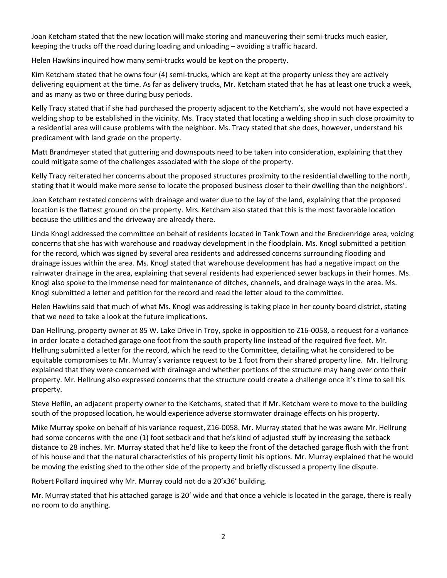Joan Ketcham stated that the new location will make storing and maneuvering their semi-trucks much easier, keeping the trucks off the road during loading and unloading – avoiding a traffic hazard.

Helen Hawkins inquired how many semi-trucks would be kept on the property.

Kim Ketcham stated that he owns four (4) semi-trucks, which are kept at the property unless they are actively delivering equipment at the time. As far as delivery trucks, Mr. Ketcham stated that he has at least one truck a week, and as many as two or three during busy periods.

Kelly Tracy stated that if she had purchased the property adjacent to the Ketcham's, she would not have expected a welding shop to be established in the vicinity. Ms. Tracy stated that locating a welding shop in such close proximity to a residential area will cause problems with the neighbor. Ms. Tracy stated that she does, however, understand his predicament with land grade on the property.

Matt Brandmeyer stated that guttering and downspouts need to be taken into consideration, explaining that they could mitigate some of the challenges associated with the slope of the property.

Kelly Tracy reiterated her concerns about the proposed structures proximity to the residential dwelling to the north, stating that it would make more sense to locate the proposed business closer to their dwelling than the neighbors'.

Joan Ketcham restated concerns with drainage and water due to the lay of the land, explaining that the proposed location is the flattest ground on the property. Mrs. Ketcham also stated that this is the most favorable location because the utilities and the driveway are already there.

Linda Knogl addressed the committee on behalf of residents located in Tank Town and the Breckenridge area, voicing concerns that she has with warehouse and roadway development in the floodplain. Ms. Knogl submitted a petition for the record, which was signed by several area residents and addressed concerns surrounding flooding and drainage issues within the area. Ms. Knogl stated that warehouse development has had a negative impact on the rainwater drainage in the area, explaining that several residents had experienced sewer backups in their homes. Ms. Knogl also spoke to the immense need for maintenance of ditches, channels, and drainage ways in the area. Ms. Knogl submitted a letter and petition for the record and read the letter aloud to the committee.

Helen Hawkins said that much of what Ms. Knogl was addressing is taking place in her county board district, stating that we need to take a look at the future implications.

Dan Hellrung, property owner at 85 W. Lake Drive in Troy, spoke in opposition to Z16-0058, a request for a variance in order locate a detached garage one foot from the south property line instead of the required five feet. Mr. Hellrung submitted a letter for the record, which he read to the Committee, detailing what he considered to be equitable compromises to Mr. Murray's variance request to be 1 foot from their shared property line. Mr. Hellrung explained that they were concerned with drainage and whether portions of the structure may hang over onto their property. Mr. Hellrung also expressed concerns that the structure could create a challenge once it's time to sell his property.

Steve Heflin, an adjacent property owner to the Ketchams, stated that if Mr. Ketcham were to move to the building south of the proposed location, he would experience adverse stormwater drainage effects on his property.

Mike Murray spoke on behalf of his variance request, Z16-0058. Mr. Murray stated that he was aware Mr. Hellrung had some concerns with the one (1) foot setback and that he's kind of adjusted stuff by increasing the setback distance to 28 inches. Mr. Murray stated that he'd like to keep the front of the detached garage flush with the front of his house and that the natural characteristics of his property limit his options. Mr. Murray explained that he would be moving the existing shed to the other side of the property and briefly discussed a property line dispute.

Robert Pollard inquired why Mr. Murray could not do a 20'x36' building.

Mr. Murray stated that his attached garage is 20' wide and that once a vehicle is located in the garage, there is really no room to do anything.